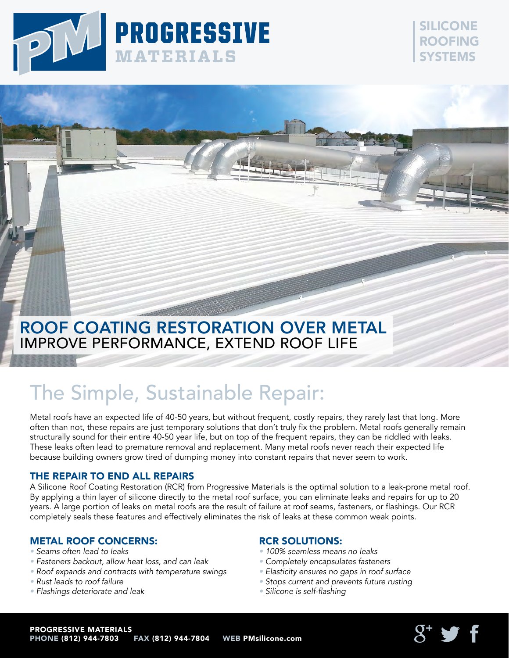

### SILICONE ROOFING SYSTEMS

## Roof Coating Restoration Over Metal IMPROVE PERFORMANCE, EXTEND ROOF LIFE

# The Simple, Sustainable Repair:

Metal roofs have an expected life of 40-50 years, but without frequent, costly repairs, they rarely last that long. More often than not, these repairs are just temporary solutions that don't truly fix the problem. Metal roofs generally remain structurally sound for their entire 40-50 year life, but on top of the frequent repairs, they can be riddled with leaks. These leaks often lead to premature removal and replacement. Many metal roofs never reach their expected life because building owners grow tired of dumping money into constant repairs that never seem to work.

#### THE REPAIR TO END ALL REPAIRS

A Silicone Roof Coating Restoration (RCR) from Progressive Materials is the optimal solution to a leak-prone metal roof. By applying a thin layer of silicone directly to the metal roof surface, you can eliminate leaks and repairs for up to 20 years. A large portion of leaks on metal roofs are the result of failure at roof seams, fasteners, or flashings. Our RCR completely seals these features and effectively eliminates the risk of leaks at these common weak points.

#### Metal Roof Concerns:

- Seams often lead to leaks
- Fasteners backout, allow heat loss, and can leak
- Roof expands and contracts with temperature swings
- Rust leads to roof failure
- Flashings deteriorate and leak

#### RCR Solutions:

- 100% seamless means no leaks
- Completely encapsulates fasteners
- Elasticity ensures no gaps in roof surface
- Stops current and prevents future rusting
- Silicone is self-flashing